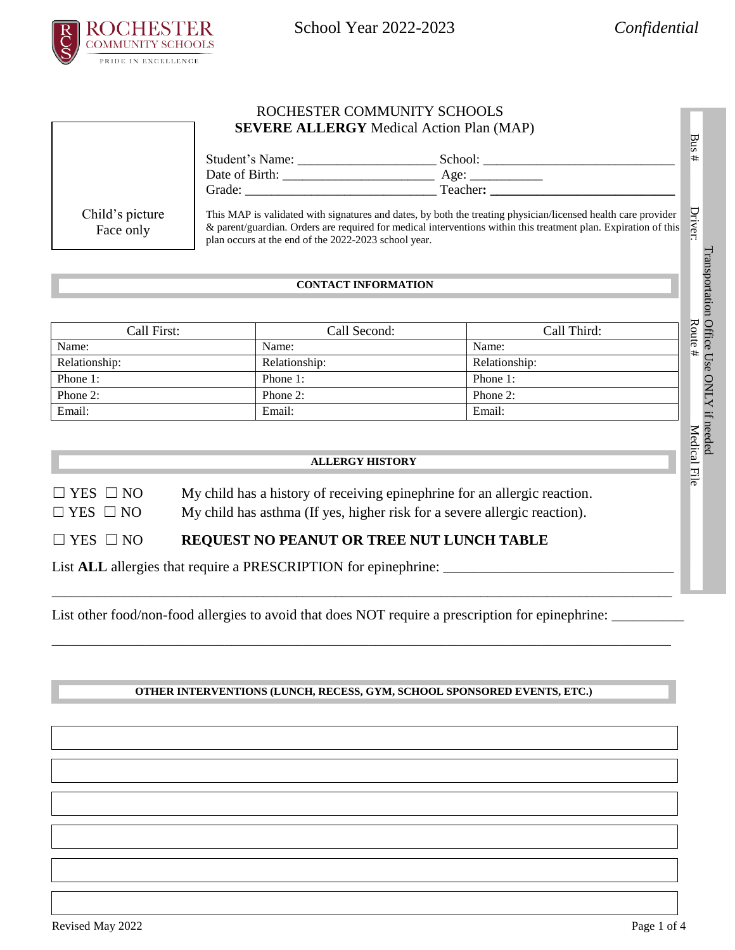

## ROCHESTER COMMUNITY SCHOOLS **SEVERE ALLERGY** Medical Action Plan (MAP)

|                              | Student's Name:<br>School:<br>Date of Birth:<br>Age:<br>Teacher:<br>Grade:                                                                                                                                                                                                               | ϖ<br>ā<br>⋕ |
|------------------------------|------------------------------------------------------------------------------------------------------------------------------------------------------------------------------------------------------------------------------------------------------------------------------------------|-------------|
| Child's picture<br>Face only | This MAP is validated with signatures and dates, by both the treating physician/licensed health care provider<br>& parent/guardian. Orders are required for medical interventions within this treatment plan. Expiration of this<br>plan occurs at the end of the 2022-2023 school year. | Driver:     |

## **CONTACT INFORMATION**

| Call First:   | Call Second:  | Call Third:   |
|---------------|---------------|---------------|
| Name:         | Name:         | Name:         |
| Relationship: | Relationship: | Relationship: |
| Phone 1:      | Phone 1:      | Phone 1:      |
| Phone 2:      | Phone $2$ :   | Phone $2$ :   |
| Email:        | Email:        | Email:        |

## **ALLERGY HISTORY**

- $\Box$  YES  $\Box$  NO My child has a history of receiving epinephrine for an allergic reaction.
- $\Box$  YES  $\Box$  NO My child has asthma (If yes, higher risk for a severe allergic reaction).

# ☐ YES ☐ NO **REQUEST NO PEANUT OR TREE NUT LUNCH TABLE**

List **ALL** allergies that require a PRESCRIPTION for epinephrine: \_\_\_\_\_\_\_\_\_\_\_\_\_\_\_\_\_\_\_\_\_\_\_\_\_\_\_\_\_\_\_\_

List other food/non-food allergies to avoid that does NOT require a prescription for epinephrine: \_\_\_\_\_\_\_\_\_\_

## **OTHER INTERVENTIONS (LUNCH, RECESS, GYM, SCHOOL SPONSORED EVENTS, ETC.)**

\_\_\_\_\_\_\_\_\_\_\_\_\_\_\_\_\_\_\_\_\_\_\_\_\_\_\_\_\_\_\_\_\_\_\_\_\_\_\_\_\_\_\_\_\_\_\_\_\_\_\_\_\_\_\_\_\_\_\_\_\_\_\_\_\_\_\_\_\_\_\_\_\_\_\_\_\_\_\_\_\_\_\_\_\_\_\_\_\_\_\_\_\_\_

\_\_\_\_\_\_\_\_\_\_\_\_\_\_\_\_\_\_\_\_\_\_\_\_\_\_\_\_\_\_\_\_\_\_\_\_\_\_\_\_\_\_\_\_\_\_\_\_\_\_\_\_\_\_\_\_\_\_\_\_\_\_\_\_\_\_\_\_\_\_\_\_\_\_\_\_\_\_\_\_\_\_\_\_\_\_

I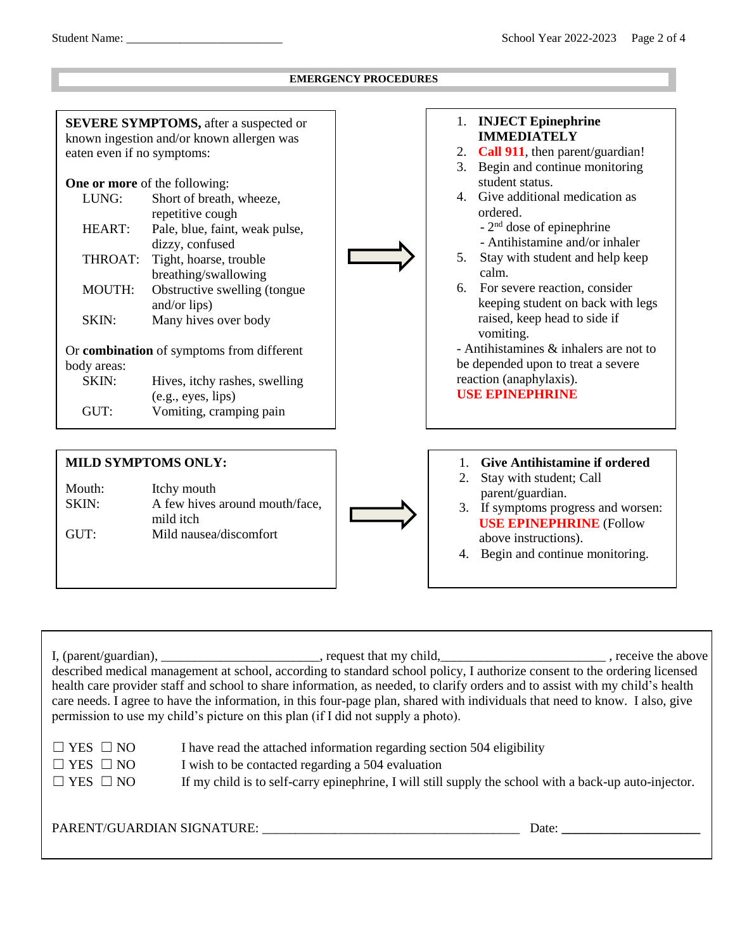#### **EMERGENCY PROCEDURES SEVERE SYMPTOMS,** after a suspected or known ingestion and/or known allergen was eaten even if no symptoms: **One or more** of the following: LUNG: Short of breath, wheeze, repetitive cough HEART: Pale, blue, faint, weak pulse, dizzy, confused THROAT: Tight, hoarse, trouble breathing/swallowing MOUTH: Obstructive swelling (tongue and/or lips) SKIN: Many hives over body Or **combination** of symptoms from different body areas: SKIN: Hives, itchy rashes, swelling (e.g., eyes, lips) GUT: Vomiting, cramping pain 1. **INJECT Epinephrine IMMEDIATELY** 2. **Call 911**, then parent/guardian! 3. Begin and continue monitoring student status. 4. Give additional medication as ordered. - 2<sup>nd</sup> dose of epinephrine - Antihistamine and/or inhaler 5. Stay with student and help keep calm. 6. For severe reaction, consider keeping student on back with legs raised, keep head to side if vomiting. - Antihistamines & inhalers are not to be depended upon to treat a severe reaction (anaphylaxis). **USE EPINEPHRINE MILD SYMPTOMS ONLY:** 1. **Give Antihistamine if ordered** 2. Stay with student; Call parent/guardian.

Mouth: Itchy mouth SKIN: A few hives around mouth/face, mild itch GUT: Mild nausea/discomfort



**USE EPINEPHRINE** (Follow above instructions).

3. If symptoms progress and worsen:

4. Begin and continue monitoring.

I, (parent/guardian), \_\_\_\_\_\_\_\_\_\_\_\_\_\_\_\_\_\_\_\_\_\_\_\_, request that my child, \_\_\_\_\_\_\_\_\_\_\_\_\_\_\_\_\_\_\_\_\_\_\_\_\_\_\_\_\_, receive the above described medical management at school, according to standard school policy, I authorize consent to the ordering licensed health care provider staff and school to share information, as needed, to clarify orders and to assist with my child's health care needs. I agree to have the information, in this four-page plan, shared with individuals that need to know. I also, give permission to use my child's picture on this plan (if I did not supply a photo).

| $\Box$ YES $\Box$ NO | I have read the attached information regarding section 504 eligibility                                 |
|----------------------|--------------------------------------------------------------------------------------------------------|
| $\Box$ YES $\Box$ NO | I wish to be contacted regarding a 504 evaluation                                                      |
| $\Box$ YES $\Box$ NO | If my child is to self-carry epinephrine, I will still supply the school with a back-up auto-injector. |

PARENT/GUARDIAN SIGNATURE: \_\_\_\_\_\_\_\_\_\_\_\_\_\_\_\_\_\_\_\_\_\_\_\_\_\_\_\_\_\_\_\_\_\_\_\_\_\_\_ Date: **\_\_\_\_\_\_\_\_\_\_\_\_\_\_\_\_\_\_\_\_\_**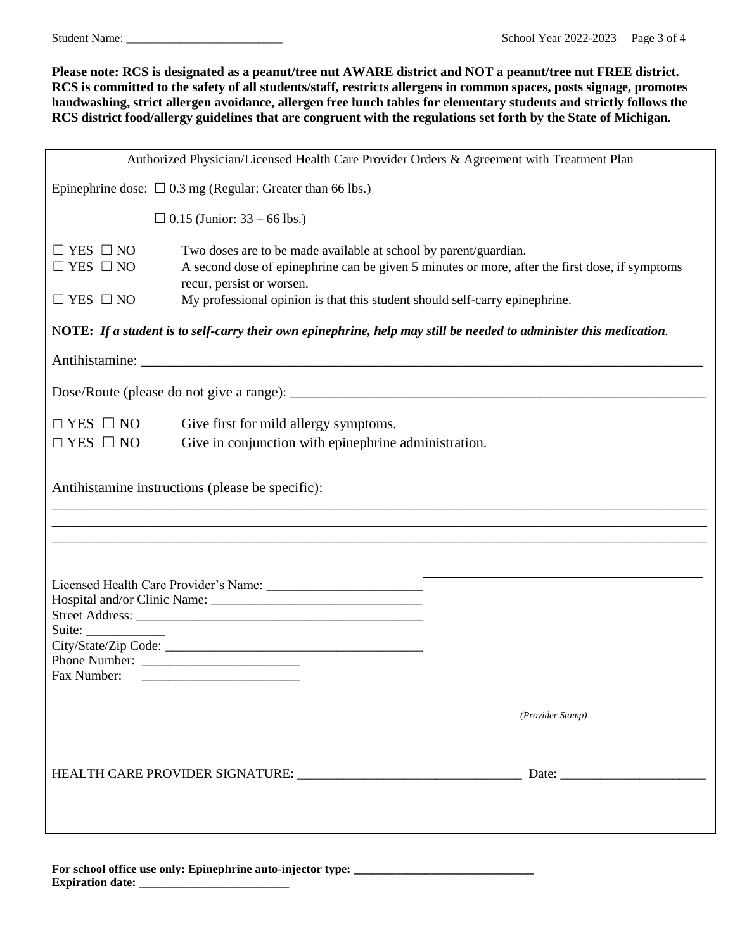Student Name: \_\_\_\_\_\_\_\_\_\_\_\_\_\_\_\_\_\_\_\_\_\_\_\_\_\_ School Year 2022-2023 Page 3 of 4

**Please note: RCS is designated as a peanut/tree nut AWARE district and NOT a peanut/tree nut FREE district. RCS is committed to the safety of all students/staff, restricts allergens in common spaces, posts signage, promotes handwashing, strict allergen avoidance, allergen free lunch tables for elementary students and strictly follows the RCS district food/allergy guidelines that are congruent with the regulations set forth by the State of Michigan.**

| Authorized Physician/Licensed Health Care Provider Orders & Agreement with Treatment Plan |                                                                                                                                                                                                 |  |  |
|-------------------------------------------------------------------------------------------|-------------------------------------------------------------------------------------------------------------------------------------------------------------------------------------------------|--|--|
| Epinephrine dose: $\Box$ 0.3 mg (Regular: Greater than 66 lbs.)                           |                                                                                                                                                                                                 |  |  |
|                                                                                           | $\Box$ 0.15 (Junior: 33 – 66 lbs.)                                                                                                                                                              |  |  |
| $\Box$ YES $\Box$ NO<br>$\Box$ YES $\Box$ NO                                              | Two doses are to be made available at school by parent/guardian.<br>A second dose of epinephrine can be given 5 minutes or more, after the first dose, if symptoms<br>recur, persist or worsen. |  |  |
| $\Box$ YES $\Box$ NO                                                                      | My professional opinion is that this student should self-carry epinephrine.                                                                                                                     |  |  |
|                                                                                           | NOTE: If a student is to self-carry their own epinephrine, help may still be needed to administer this medication.                                                                              |  |  |
|                                                                                           |                                                                                                                                                                                                 |  |  |
|                                                                                           |                                                                                                                                                                                                 |  |  |
| $\Box$ YES $\Box$ NO<br>$\Box$ YES $\Box$ NO                                              | Give first for mild allergy symptoms.<br>Give in conjunction with epinephrine administration.                                                                                                   |  |  |
| Antihistamine instructions (please be specific):                                          |                                                                                                                                                                                                 |  |  |
| Fax Number:                                                                               | (Provider Stamp)                                                                                                                                                                                |  |  |
|                                                                                           |                                                                                                                                                                                                 |  |  |